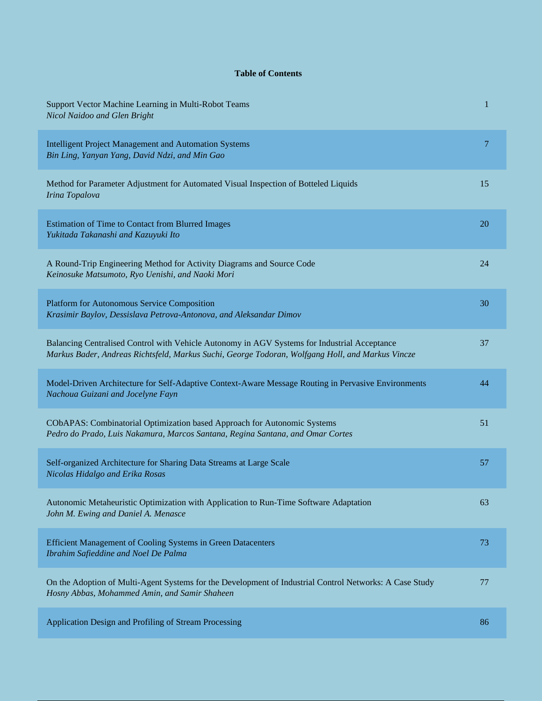## **Table of Contents**

| Support Vector Machine Learning in Multi-Robot Teams<br>Nicol Naidoo and Glen Bright                                                                                                             | 1  |
|--------------------------------------------------------------------------------------------------------------------------------------------------------------------------------------------------|----|
| <b>Intelligent Project Management and Automation Systems</b><br>Bin Ling, Yanyan Yang, David Ndzi, and Min Gao                                                                                   | 7  |
| Method for Parameter Adjustment for Automated Visual Inspection of Botteled Liquids<br>Irina Topalova                                                                                            | 15 |
| <b>Estimation of Time to Contact from Blurred Images</b><br>Yukitada Takanashi and Kazuyuki Ito                                                                                                  | 20 |
| A Round-Trip Engineering Method for Activity Diagrams and Source Code<br>Keinosuke Matsumoto, Ryo Uenishi, and Naoki Mori                                                                        | 24 |
| <b>Platform for Autonomous Service Composition</b><br>Krasimir Baylov, Dessislava Petrova-Antonova, and Aleksandar Dimov                                                                         | 30 |
| Balancing Centralised Control with Vehicle Autonomy in AGV Systems for Industrial Acceptance<br>Markus Bader, Andreas Richtsfeld, Markus Suchi, George Todoran, Wolfgang Holl, and Markus Vincze | 37 |
| Model-Driven Architecture for Self-Adaptive Context-Aware Message Routing in Pervasive Environments<br>Nachoua Guizani and Jocelyne Fayn                                                         | 44 |
| CObAPAS: Combinatorial Optimization based Approach for Autonomic Systems<br>Pedro do Prado, Luis Nakamura, Marcos Santana, Regina Santana, and Omar Cortes                                       | 51 |
| Self-organized Architecture for Sharing Data Streams at Large Scale<br>Nicolas Hidalgo and Erika Rosas                                                                                           | 57 |
| Autonomic Metaheuristic Optimization with Application to Run-Time Software Adaptation<br>John M. Ewing and Daniel A. Menasce                                                                     | 63 |
| Efficient Management of Cooling Systems in Green Datacenters<br>Ibrahim Safieddine and Noel De Palma                                                                                             | 73 |
| On the Adoption of Multi-Agent Systems for the Development of Industrial Control Networks: A Case Study<br>Hosny Abbas, Mohammed Amin, and Samir Shaheen                                         | 77 |
| Application Design and Profiling of Stream Processing                                                                                                                                            | 86 |